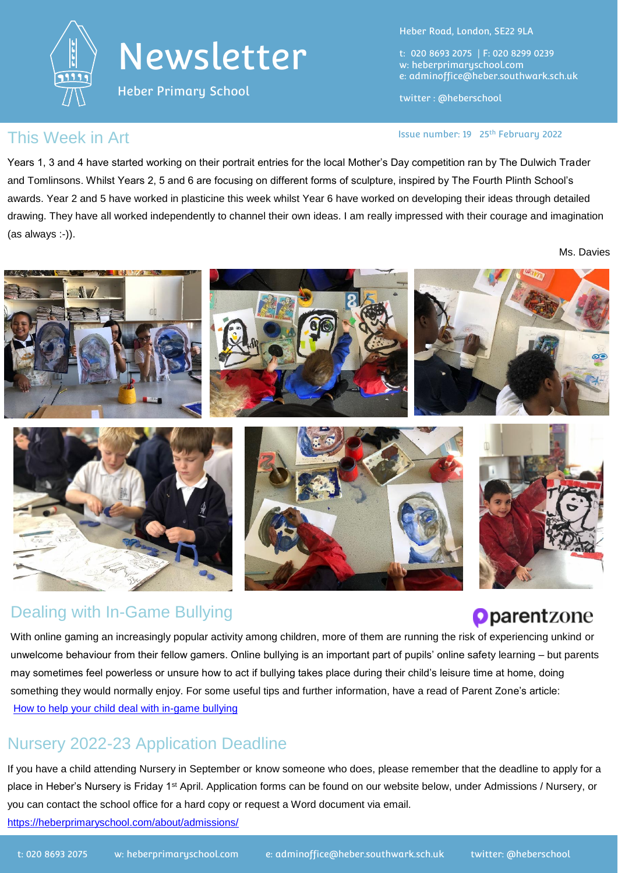

## Newsletter

Heber Primary School

Heber Road, London, SE22 9LA

t: 020 8693 2075 | F: 020 8299 0239 w: heberprimaryschool.com e: [adminoffice@heber.southwark.sch.uk](mailto:adminoffice@heber.southwark.sch.uk)

twitter : @heberschool

#### This Week in Art **Interpreteral Contract Contract Contract Contract Contract Contract Contract Contract Contract Contract Contract Contract Contract Contract Contract Contract Contract Contract Contract Contract Contract C**

Years 1, 3 and 4 have started working on their portrait entries for the local Mother's Day competition ran by The Dulwich Trader and Tomlinsons. Whilst Years 2, 5 and 6 are focusing on different forms of sculpture, inspired by The Fourth Plinth School's awards. Year 2 and 5 have worked in plasticine this week whilst Year 6 have worked on developing their ideas through detailed drawing. They have all worked independently to channel their own ideas. I am really impressed with their courage and imagination (as always :-)).

Ms. Davies



#### Dealing with In-Game Bullying

## **Oparent**zone

With online gaming an increasingly popular activity among children, more of them are running the ri[sk of experiencing unkind or](https://www.parents.parentzone.org.uk/)  unwelcome behaviour from their fellow gamers. Online bullying is an important part of pupils' online safety learning – but parents may sometimes feel powerless or unsure how to act if bullying takes place during their child's leisure time at home, doing something they would normally enjoy. For some useful tips and further information, have a read of Parent Zone's article: [How to help your child deal with in-game bullying](How%20to%20help%20your%20child%20deal%20with%20in-game%20bullying)

## Nursery 2022-23 Application Deadline

If you have a child attending Nursery in September or know someone who does, please remember that the deadline to apply for a place in Heber's Nursery is Friday 1<sup>st</sup> April. Application forms can be found on our website below, under Admissions / Nursery, or you can contact the school office for a hard copy or request a Word document via email.

<https://heberprimaryschool.com/about/admissions/>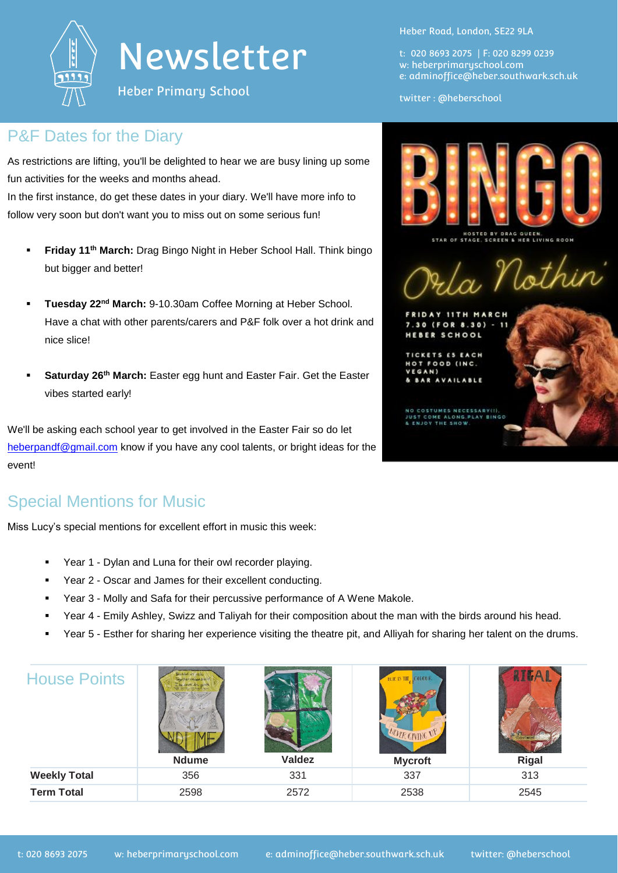

## Newsletter

Heber Primary School

#### P&F Dates for the Diary

As restrictions are lifting, you'll be delighted to hear we are busy lining up some fun activities for the weeks and months ahead.

In the first instance, do get these dates in your diary. We'll have more info to follow very soon but don't want you to miss out on some serious fun!

- **Friday 11th March:** Drag Bingo Night in Heber School Hall. Think bingo but bigger and better!
- **Tuesday 22nd March:** 9-10.30am Coffee Morning at Heber School. Have a chat with other parents/carers and P&F folk over a hot drink and nice slice!
- **Saturday 26th March:** Easter egg hunt and Easter Fair. Get the Easter vibes started early!

We'll be asking each school year to get involved in the Easter Fair so do let [heberpandf@gmail.com](mailto:heberpandf@gmail.com) know if you have any cool talents, or bright ideas for the event!

## Special Mentions for Music

Miss Lucy's special mentions for excellent effort in music this week:

- Year 1 Dylan and Luna for their owl recorder playing.
- Year 2 Oscar and James for their excellent conducting.
- Year 3 Molly and Safa for their percussive performance of A Wene Makole.
- Year 4 Emily Ashley, Swizz and Taliyah for their composition about the man with the birds around his head.
- Year 5 Esther for sharing her experience visiting the theatre pit, and Alliyah for sharing her talent on the drums.

| <b>Weekly Total</b><br>337<br>356<br>313<br>331<br><b>Term Total</b><br>2545<br>2598<br>2572<br>2538 | <b>House Points</b> | ING ML MOD<br><b>Ndume</b> | <b>Valdez</b> | <b>COLOUR</b><br><b>BLUE IS THE</b><br>MUTR CIVING UN<br><b>Mycroft</b> | Rigal |
|------------------------------------------------------------------------------------------------------|---------------------|----------------------------|---------------|-------------------------------------------------------------------------|-------|
|                                                                                                      |                     |                            |               |                                                                         |       |
|                                                                                                      |                     |                            |               |                                                                         |       |

Heber Road, London, SE22 9LA

t: 020 8693 2075 | F: 020 8299 0239 w: heberprimaryschool.com e: [adminoffice@heber.southwark.sch.uk](mailto:adminoffice@heber.southwark.sch.uk)

twitter : @heberschool



IOSTED BY DRAG QUEEN,<br>TAGE, SCREEN & HER LIVING ROOM STACE

In Nothin

IDAY **11TH** 30 (FOR 8.30) **HEBER SCHOOL** 

**TICKETS ES EACH** FOOD (INC. **BARAV** 

> **COSTUMES NECESSARY(I)** OME ALONG PLAY THE SHOW